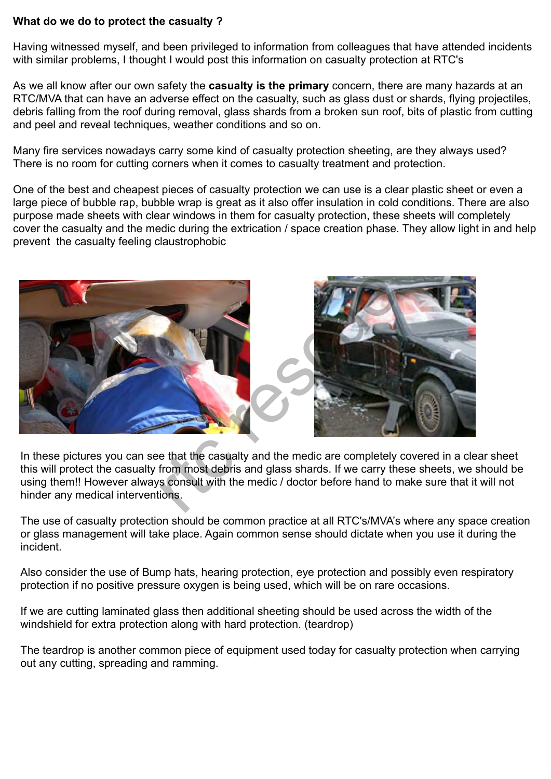## **What do we do to protect the casualty ?**

Having witnessed myself, and been privileged to information from colleagues that have attended incidents with similar problems, I thought I would post this information on casualty protection at RTC's

As we all know after our own safety the **casualty is the primary** concern, there are many hazards at an RTC/MVA that can have an adverse effect on the casualty, such as glass dust or shards, flying projectiles, debris falling from the roof during removal, glass shards from a broken sun roof, bits of plastic from cutting and peel and reveal techniques, weather conditions and so on.

Many fire services nowadays carry some kind of casualty protection sheeting, are they always used? There is no room for cutting corners when it comes to casualty treatment and protection.

One of the best and cheapest pieces of casualty protection we can use is a clear plastic sheet or even a large piece of bubble rap, bubble wrap is great as it also offer insulation in cold conditions. There are also purpose made sheets with clear windows in them for casualty protection, these sheets will completely cover the casualty and the medic during the extrication / space creation phase. They allow light in and help prevent the casualty feeling claustrophobic





In these pictures you can see that the casualty and the medic are completely covered in a clear sheet this will protect the casualty from most debris and glass shards. If we carry these sheets, we should be using them!! However always consult with the medic / doctor before hand to make sure that it will not hinder any medical interventions.

The use of casualty protection should be common practice at all RTC's/MVA's where any space creation or glass management will take place. Again common sense should dictate when you use it during the incident.

Also consider the use of Bump hats, hearing protection, eye protection and possibly even respiratory protection if no positive pressure oxygen is being used, which will be on rare occasions.

If we are cutting laminated glass then additional sheeting should be used across the width of the windshield for extra protection along with hard protection. (teardrop)

The teardrop is another common piece of equipment used today for casualty protection when carrying out any cutting, spreading and ramming.